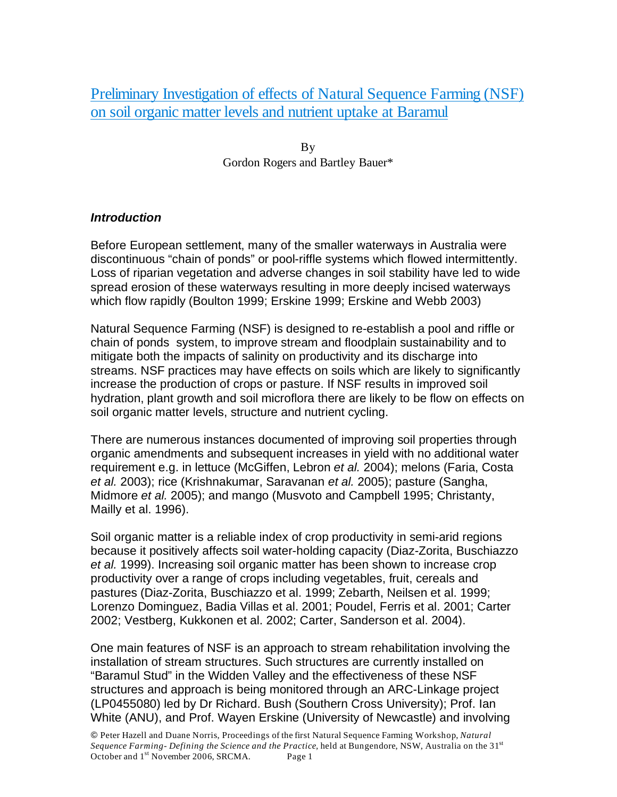Preliminary Investigation of effects of Natural Sequence Farming (NSF) on soil organic matter levels and nutrient uptake at Baramul

> By Gordon Rogers and Bartley Bauer\*

#### *Introduction*

Before European settlement, many of the smaller waterways in Australia were discontinuous "chain of ponds" or pool-riffle systems which flowed intermittently. Loss of riparian vegetation and adverse changes in soil stability have led to wide spread erosion of these waterways resulting in more deeply incised waterways which flow rapidly (Boulton 1999; Erskine 1999; Erskine and Webb 2003)

Natural Sequence Farming (NSF) is designed to re-establish a pool and riffle or chain of ponds system, to improve stream and floodplain sustainability and to mitigate both the impacts of salinity on productivity and its discharge into streams. NSF practices may have effects on soils which are likely to significantly increase the production of crops or pasture. If NSF results in improved soil hydration, plant growth and soil microflora there are likely to be flow on effects on soil organic matter levels, structure and nutrient cycling.

There are numerous instances documented of improving soil properties through organic amendments and subsequent increases in yield with no additional water requirement e.g. in lettuce (McGiffen, Lebron *et al.* 2004); melons (Faria, Costa *et al.* 2003); rice (Krishnakumar, Saravanan *et al.* 2005); pasture (Sangha, Midmore *et al.* 2005); and mango (Musvoto and Campbell 1995; Christanty, Mailly et al. 1996).

Soil organic matter is a reliable index of crop productivity in semi-arid regions because it positively affects soil water-holding capacity (Diaz-Zorita, Buschiazzo *et al.* 1999). Increasing soil organic matter has been shown to increase crop productivity over a range of crops including vegetables, fruit, cereals and pastures (Diaz-Zorita, Buschiazzo et al. 1999; Zebarth, Neilsen et al. 1999; Lorenzo Dominguez, Badia Villas et al. 2001; Poudel, Ferris et al. 2001; Carter 2002; Vestberg, Kukkonen et al. 2002; Carter, Sanderson et al. 2004).

One main features of NSF is an approach to stream rehabilitation involving the installation of stream structures. Such structures are currently installed on "Baramul Stud" in the Widden Valley and the effectiveness of these NSF structures and approach is being monitored through an ARC-Linkage project (LP0455080) led by Dr Richard. Bush (Southern Cross University); Prof. Ian White (ANU), and Prof. Wayen Erskine (University of Newcastle) and involving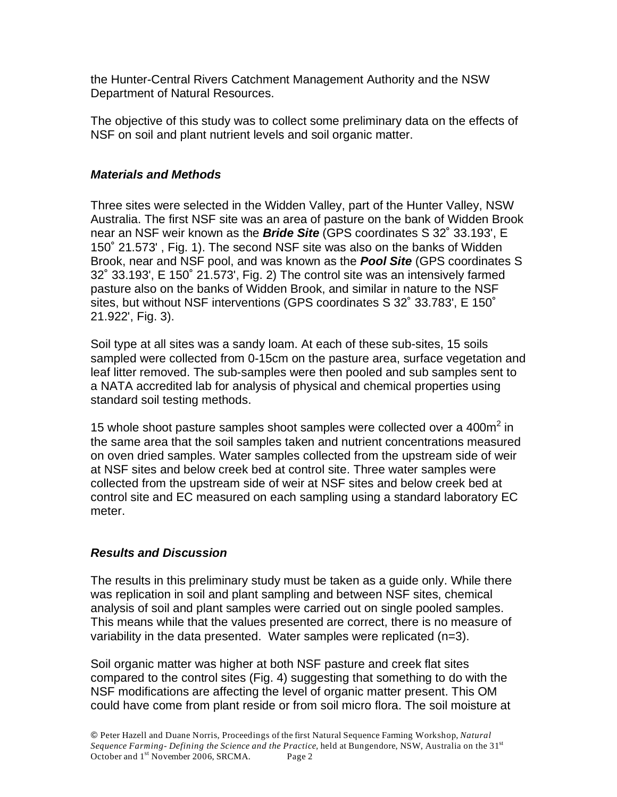the Hunter-Central Rivers Catchment Management Authority and the NSW Department of Natural Resources.

The objective of this study was to collect some preliminary data on the effects of NSF on soil and plant nutrient levels and soil organic matter.

### *Materials and Methods*

Three sites were selected in the Widden Valley, part of the Hunter Valley, NSW Australia. The first NSF site was an area of pasture on the bank of Widden Brook near an NSF weir known as the *Bride Site* (GPS coordinates S 32˚ 33.193', E 150˚ 21.573' , Fig. 1). The second NSF site was also on the banks of Widden Brook, near and NSF pool, and was known as the *Pool Site* (GPS coordinates S 32˚ 33.193', E 150˚ 21.573', Fig. 2) The control site was an intensively farmed pasture also on the banks of Widden Brook, and similar in nature to the NSF sites, but without NSF interventions (GPS coordinates S 32˚ 33.783', E 150˚ 21.922', Fig. 3).

Soil type at all sites was a sandy loam. At each of these sub-sites, 15 soils sampled were collected from 0-15cm on the pasture area, surface vegetation and leaf litter removed. The sub-samples were then pooled and sub samples sent to a NATA accredited lab for analysis of physical and chemical properties using standard soil testing methods.

15 whole shoot pasture samples shoot samples were collected over a  $400m^2$  in the same area that the soil samples taken and nutrient concentrations measured on oven dried samples. Water samples collected from the upstream side of weir at NSF sites and below creek bed at control site. Three water samples were collected from the upstream side of weir at NSF sites and below creek bed at control site and EC measured on each sampling using a standard laboratory EC meter.

## *Results and Discussion*

The results in this preliminary study must be taken as a guide only. While there was replication in soil and plant sampling and between NSF sites, chemical analysis of soil and plant samples were carried out on single pooled samples. This means while that the values presented are correct, there is no measure of variability in the data presented. Water samples were replicated (n=3).

Soil organic matter was higher at both NSF pasture and creek flat sites compared to the control sites (Fig. 4) suggesting that something to do with the NSF modifications are affecting the level of organic matter present. This OM could have come from plant reside or from soil micro flora. The soil moisture at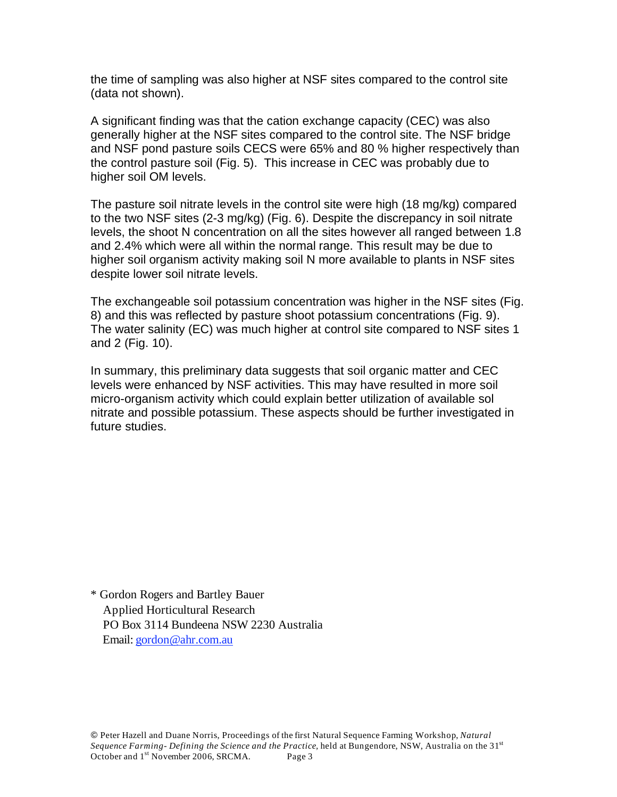the time of sampling was also higher at NSF sites compared to the control site (data not shown).

A significant finding was that the cation exchange capacity (CEC) was also generally higher at the NSF sites compared to the control site. The NSF bridge and NSF pond pasture soils CECS were 65% and 80 % higher respectively than the control pasture soil (Fig. 5). This increase in CEC was probably due to higher soil OM levels.

The pasture soil nitrate levels in the control site were high (18 mg/kg) compared to the two NSF sites (2-3 mg/kg) (Fig. 6). Despite the discrepancy in soil nitrate levels, the shoot N concentration on all the sites however all ranged between 1.8 and 2.4% which were all within the normal range. This result may be due to higher soil organism activity making soil N more available to plants in NSF sites despite lower soil nitrate levels.

The exchangeable soil potassium concentration was higher in the NSF sites (Fig. 8) and this was reflected by pasture shoot potassium concentrations (Fig. 9). The water salinity (EC) was much higher at control site compared to NSF sites 1 and 2 (Fig. 10).

In summary, this preliminary data suggests that soil organic matter and CEC levels were enhanced by NSF activities. This may have resulted in more soil micro-organism activity which could explain better utilization of available sol nitrate and possible potassium. These aspects should be further investigated in future studies.

\* Gordon Rogers and Bartley Bauer Applied Horticultural Research PO Box 3114 Bundeena NSW 2230 Australia Email: gordon@ahr.com.au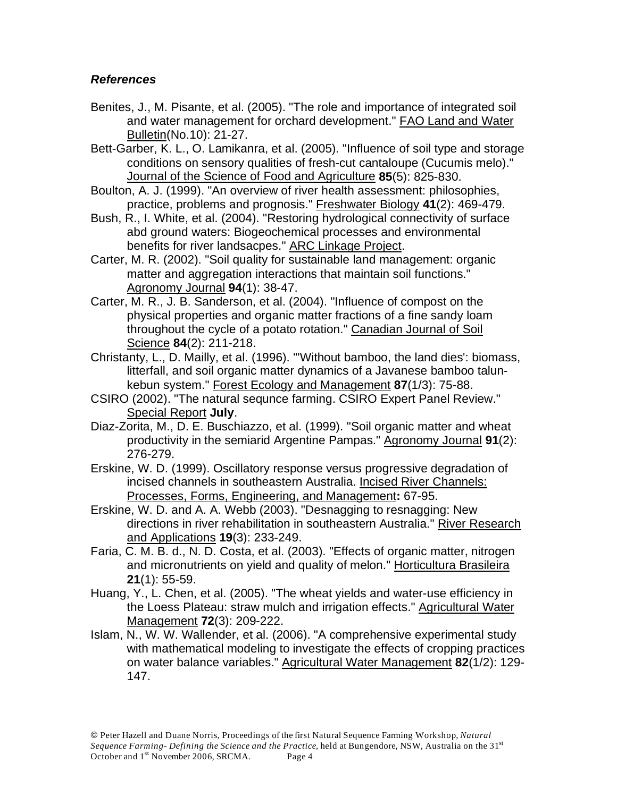# *References*

- Benites, J., M. Pisante, et al. (2005). "The role and importance of integrated soil and water management for orchard development." FAO Land and Water Bulletin(No.10): 21-27.
- Bett-Garber, K. L., O. Lamikanra, et al. (2005). "Influence of soil type and storage conditions on sensory qualities of fresh-cut cantaloupe (Cucumis melo)." Journal of the Science of Food and Agriculture **85**(5): 825-830.
- Boulton, A. J. (1999). "An overview of river health assessment: philosophies, practice, problems and prognosis." Freshwater Biology **41**(2): 469-479.
- Bush, R., I. White, et al. (2004). "Restoring hydrological connectivity of surface abd ground waters: Biogeochemical processes and environmental benefits for river landsacpes." ARC Linkage Project.
- Carter, M. R. (2002). "Soil quality for sustainable land management: organic matter and aggregation interactions that maintain soil functions." Agronomy Journal **94**(1): 38-47.
- Carter, M. R., J. B. Sanderson, et al. (2004). "Influence of compost on the physical properties and organic matter fractions of a fine sandy loam throughout the cycle of a potato rotation." Canadian Journal of Soil Science **84**(2): 211-218.
- Christanty, L., D. Mailly, et al. (1996). "'Without bamboo, the land dies': biomass, litterfall, and soil organic matter dynamics of a Javanese bamboo talunkebun system." Forest Ecology and Management **87**(1/3): 75-88.
- CSIRO (2002). "The natural sequnce farming. CSIRO Expert Panel Review." Special Report **July**.
- Diaz-Zorita, M., D. E. Buschiazzo, et al. (1999). "Soil organic matter and wheat productivity in the semiarid Argentine Pampas." Agronomy Journal **91**(2): 276-279.
- Erskine, W. D. (1999). Oscillatory response versus progressive degradation of incised channels in southeastern Australia. Incised River Channels: Processes, Forms, Engineering, and Management**:** 67-95.
- Erskine, W. D. and A. A. Webb (2003). "Desnagging to resnagging: New directions in river rehabilitation in southeastern Australia." River Research and Applications **19**(3): 233-249.
- Faria, C. M. B. d., N. D. Costa, et al. (2003). "Effects of organic matter, nitrogen and micronutrients on yield and quality of melon." Horticultura Brasileira **21**(1): 55-59.
- Huang, Y., L. Chen, et al. (2005). "The wheat yields and water-use efficiency in the Loess Plateau: straw mulch and irrigation effects." Agricultural Water Management **72**(3): 209-222.
- Islam, N., W. W. Wallender, et al. (2006). "A comprehensive experimental study with mathematical modeling to investigate the effects of cropping practices on water balance variables." Agricultural Water Management **82**(1/2): 129- 147.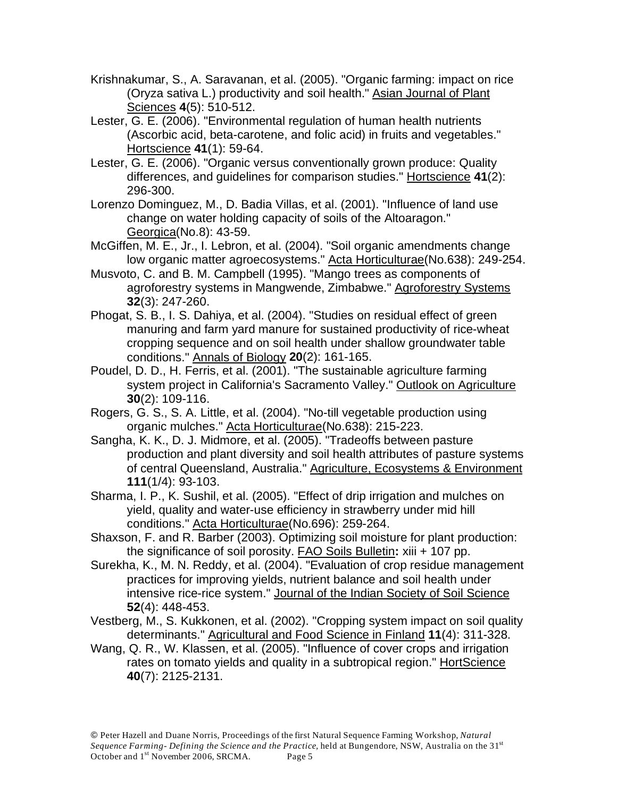- Krishnakumar, S., A. Saravanan, et al. (2005). "Organic farming: impact on rice (Oryza sativa L.) productivity and soil health." Asian Journal of Plant Sciences **4**(5): 510-512.
- Lester, G. E. (2006). "Environmental regulation of human health nutrients (Ascorbic acid, beta-carotene, and folic acid) in fruits and vegetables." Hortscience **41**(1): 59-64.
- Lester, G. E. (2006). "Organic versus conventionally grown produce: Quality differences, and guidelines for comparison studies." Hortscience **41**(2): 296-300.
- Lorenzo Dominguez, M., D. Badia Villas, et al. (2001). "Influence of land use change on water holding capacity of soils of the Altoaragon." Georgica(No.8): 43-59.
- McGiffen, M. E., Jr., I. Lebron, et al. (2004). "Soil organic amendments change low organic matter agroecosystems." Acta Horticulturae (No.638): 249-254.
- Musvoto, C. and B. M. Campbell (1995). "Mango trees as components of agroforestry systems in Mangwende, Zimbabwe." Agroforestry Systems **32**(3): 247-260.
- Phogat, S. B., I. S. Dahiya, et al. (2004). "Studies on residual effect of green manuring and farm yard manure for sustained productivity of rice-wheat cropping sequence and on soil health under shallow groundwater table conditions." Annals of Biology **20**(2): 161-165.
- Poudel, D. D., H. Ferris, et al. (2001). "The sustainable agriculture farming system project in California's Sacramento Valley." Outlook on Agriculture **30**(2): 109-116.
- Rogers, G. S., S. A. Little, et al. (2004). "No-till vegetable production using organic mulches." Acta Horticulturae(No.638): 215-223.
- Sangha, K. K., D. J. Midmore, et al. (2005). "Tradeoffs between pasture production and plant diversity and soil health attributes of pasture systems of central Queensland, Australia." Agriculture, Ecosystems & Environment **111**(1/4): 93-103.
- Sharma, I. P., K. Sushil, et al. (2005). "Effect of drip irrigation and mulches on yield, quality and water-use efficiency in strawberry under mid hill conditions." Acta Horticulturae(No.696): 259-264.
- Shaxson, F. and R. Barber (2003). Optimizing soil moisture for plant production: the significance of soil porosity. FAO Soils Bulletin**:** xiii + 107 pp.
- Surekha, K., M. N. Reddy, et al. (2004). "Evaluation of crop residue management practices for improving yields, nutrient balance and soil health under intensive rice-rice system." Journal of the Indian Society of Soil Science **52**(4): 448-453.
- Vestberg, M., S. Kukkonen, et al. (2002). "Cropping system impact on soil quality determinants." Agricultural and Food Science in Finland **11**(4): 311-328.
- Wang, Q. R., W. Klassen, et al. (2005). "Influence of cover crops and irrigation rates on tomato yields and quality in a subtropical region." HortScience **40**(7): 2125-2131.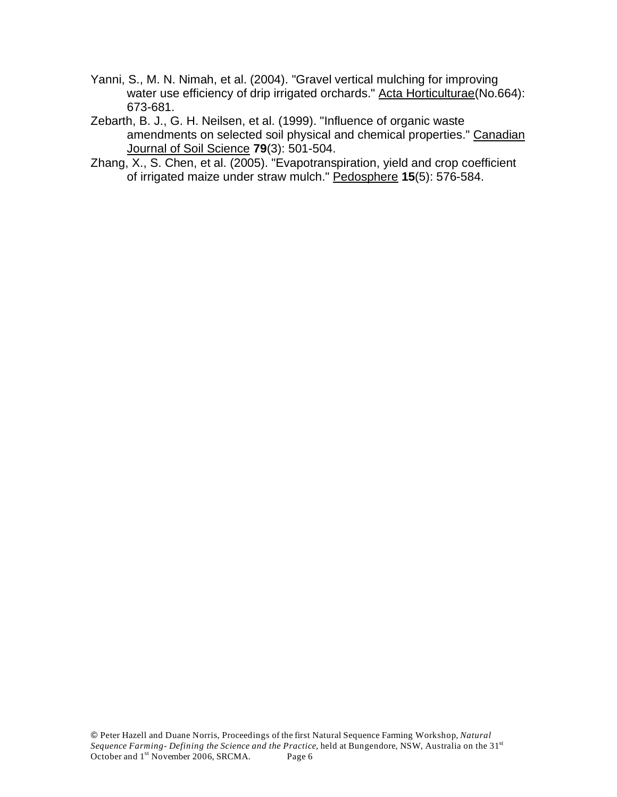- Yanni, S., M. N. Nimah, et al. (2004). "Gravel vertical mulching for improving water use efficiency of drip irrigated orchards." Acta Horticulturae(No.664): 673-681.
- Zebarth, B. J., G. H. Neilsen, et al. (1999). "Influence of organic waste amendments on selected soil physical and chemical properties." Canadian Journal of Soil Science **79**(3): 501-504.
- Zhang, X., S. Chen, et al. (2005). "Evapotranspiration, yield and crop coefficient of irrigated maize under straw mulch." Pedosphere **15**(5): 576-584.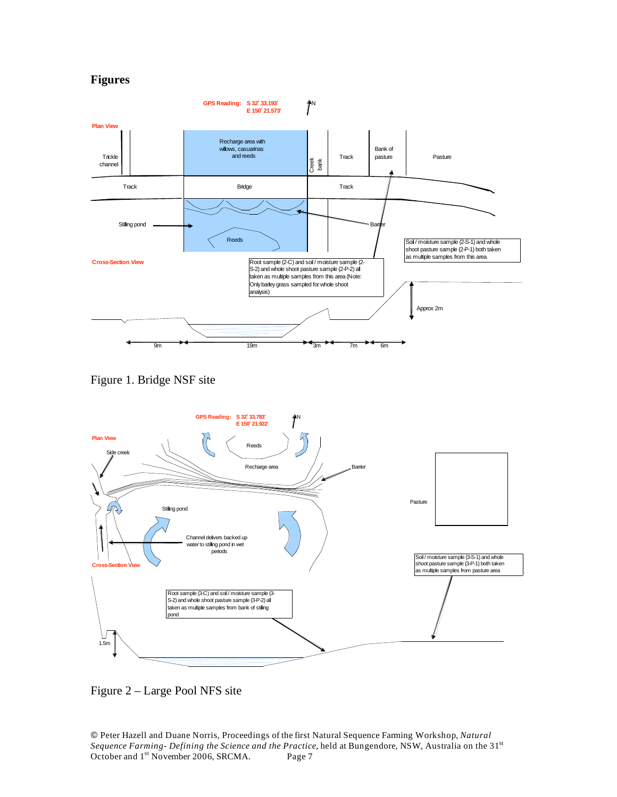#### **Figures**



Figure 1. Bridge NSF site



Figure 2 – Large Pool NFS site

 Peter Hazell and Duane Norris, Proceedings of the first Natural Sequence Farming Workshop, *Natural*  Sequence Farming- Defining the Science and the Practice, held at Bungendore, NSW, Australia on the 31<sup>st</sup> October and 1<sup>st</sup> November 2006, SRCMA. Page 7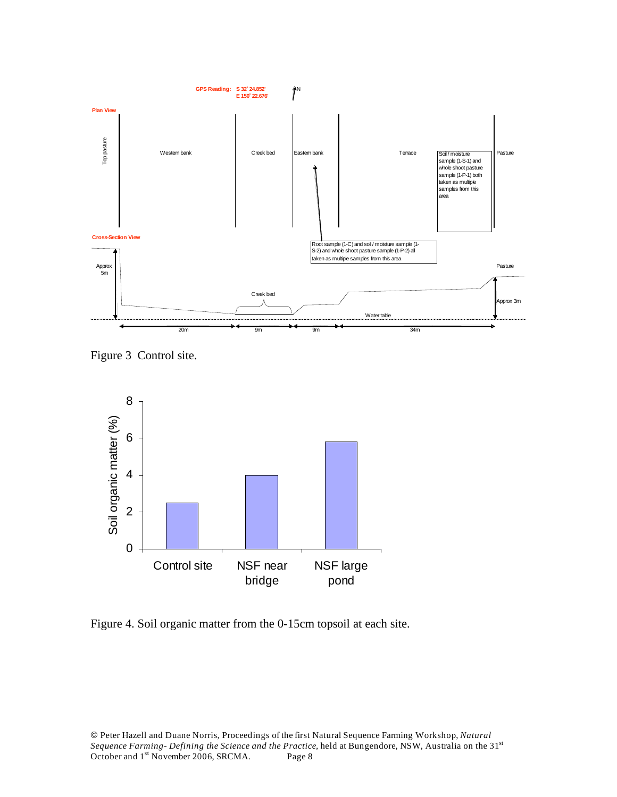

Figure 3 Control site.



Figure 4. Soil organic matter from the 0-15cm topsoil at each site.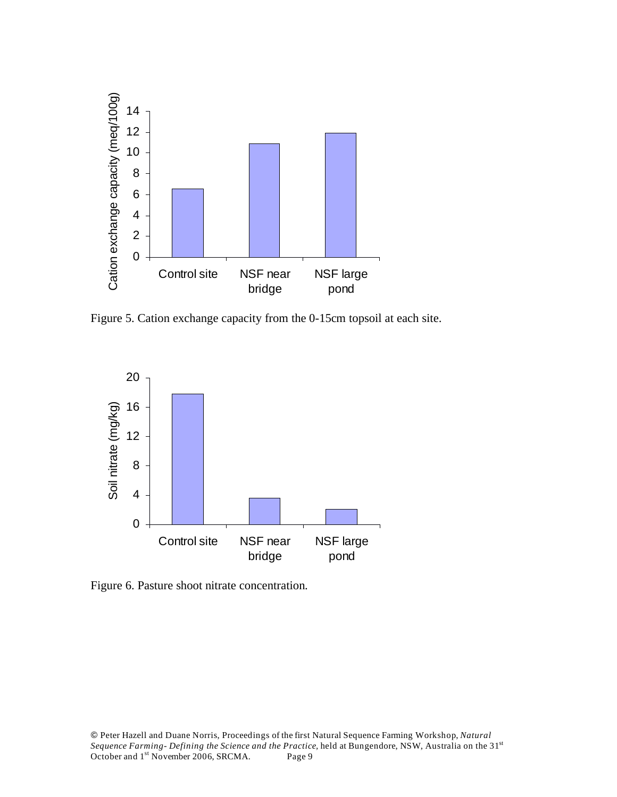

Figure 5. Cation exchange capacity from the 0-15cm topsoil at each site.



Figure 6. Pasture shoot nitrate concentration.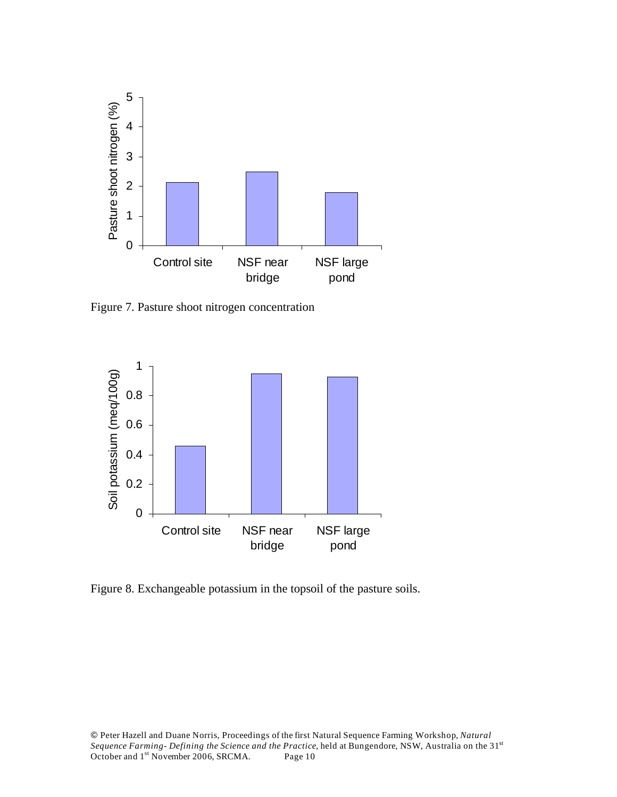

Figure 7. Pasture shoot nitrogen concentration



Figure 8. Exchangeable potassium in the topsoil of the pasture soils.